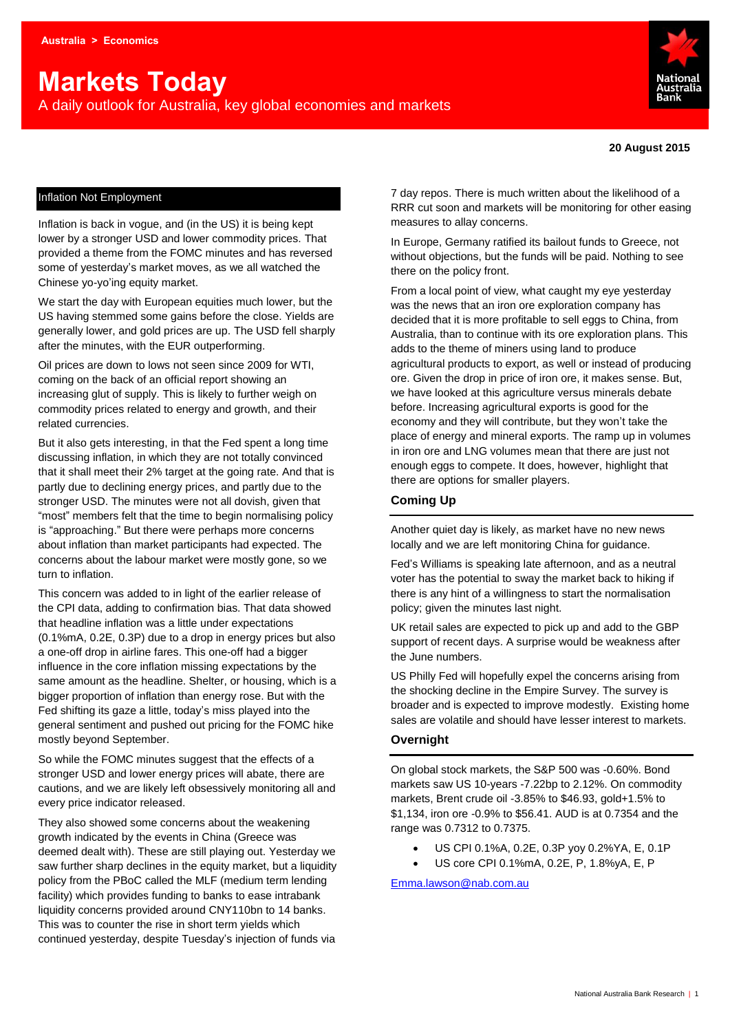# **Markets Today**

A daily outlook for Australia, key global economies and markets



#### Inflation Not Employment

Inflation is back in vogue, and (in the US) it is being kept lower by a stronger USD and lower commodity prices. That provided a theme from the FOMC minutes and has reversed some of yesterday's market moves, as we all watched the Chinese yo-yo'ing equity market.

We start the day with European equities much lower, but the US having stemmed some gains before the close. Yields are generally lower, and gold prices are up. The USD fell sharply after the minutes, with the EUR outperforming.

Oil prices are down to lows not seen since 2009 for WTI, coming on the back of an official report showing an increasing glut of supply. This is likely to further weigh on commodity prices related to energy and growth, and their related currencies.

But it also gets interesting, in that the Fed spent a long time discussing inflation, in which they are not totally convinced that it shall meet their 2% target at the going rate. And that is partly due to declining energy prices, and partly due to the stronger USD. The minutes were not all dovish, given that "most" members felt that the time to begin normalising policy is "approaching." But there were perhaps more concerns about inflation than market participants had expected. The concerns about the labour market were mostly gone, so we turn to inflation.

This concern was added to in light of the earlier release of the CPI data, adding to confirmation bias. That data showed that headline inflation was a little under expectations (0.1%mA, 0.2E, 0.3P) due to a drop in energy prices but also a one-off drop in airline fares. This one-off had a bigger influence in the core inflation missing expectations by the same amount as the headline. Shelter, or housing, which is a bigger proportion of inflation than energy rose. But with the Fed shifting its gaze a little, today's miss played into the general sentiment and pushed out pricing for the FOMC hike mostly beyond September.

So while the FOMC minutes suggest that the effects of a stronger USD and lower energy prices will abate, there are cautions, and we are likely left obsessively monitoring all and every price indicator released.

They also showed some concerns about the weakening growth indicated by the events in China (Greece was deemed dealt with). These are still playing out. Yesterday we saw further sharp declines in the equity market, but a liquidity policy from the PBoC called the MLF (medium term lending facility) which provides funding to banks to ease intrabank liquidity concerns provided around CNY110bn to 14 banks. This was to counter the rise in short term yields which continued yesterday, despite Tuesday's injection of funds via

7 day repos. There is much written about the likelihood of a RRR cut soon and markets will be monitoring for other easing measures to allay concerns.

In Europe, Germany ratified its bailout funds to Greece, not without objections, but the funds will be paid. Nothing to see there on the policy front.

From a local point of view, what caught my eye yesterday was the news that an iron ore exploration company has decided that it is more profitable to sell eggs to China, from Australia, than to continue with its ore exploration plans. This adds to the theme of miners using land to produce agricultural products to export, as well or instead of producing ore. Given the drop in price of iron ore, it makes sense. But, we have looked at this agriculture versus minerals debate before. Increasing agricultural exports is good for the economy and they will contribute, but they won't take the place of energy and mineral exports. The ramp up in volumes in iron ore and LNG volumes mean that there are just not enough eggs to compete. It does, however, highlight that there are options for smaller players.

#### **Coming Up**

Another quiet day is likely, as market have no new news locally and we are left monitoring China for guidance.

Fed's Williams is speaking late afternoon, and as a neutral voter has the potential to sway the market back to hiking if there is any hint of a willingness to start the normalisation policy; given the minutes last night.

UK retail sales are expected to pick up and add to the GBP support of recent days. A surprise would be weakness after the June numbers.

US Philly Fed will hopefully expel the concerns arising from the shocking decline in the Empire Survey. The survey is broader and is expected to improve modestly. Existing home sales are volatile and should have lesser interest to markets.

#### **Overnight**

On global stock markets, the S&P 500 was -0.60%. Bond markets saw US 10-years -7.22bp to 2.12%. On commodity markets, Brent crude oil -3.85% to \$46.93, gold+1.5% to \$1,134, iron ore -0.9% to \$56.41. AUD is at 0.7354 and the range was 0.7312 to 0.7375.

- US CPI 0.1%A, 0.2E, 0.3P yoy 0.2%YA, E, 0.1P
- US core CPI 0.1%mA, 0.2E, P, 1.8%yA, E, P

[Emma.lawson@nab.com.au](mailto:Emma.lawson@nab.com.au)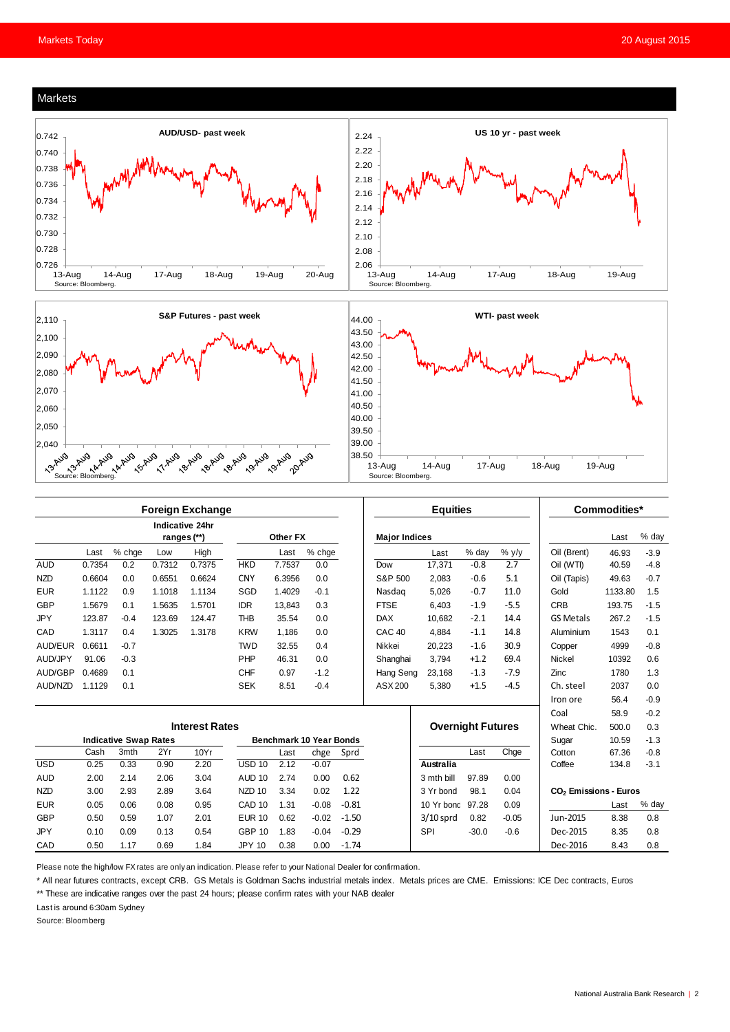#### Markets





|            | <b>Foreign Exchange</b>      |        |        |                                |                                |          |         |         | <b>Equities</b>      |                          |         |         | Commodities*                      |         |        |
|------------|------------------------------|--------|--------|--------------------------------|--------------------------------|----------|---------|---------|----------------------|--------------------------|---------|---------|-----------------------------------|---------|--------|
|            |                              |        |        | Indicative 24hr<br>ranges (**) |                                | Other FX |         |         | <b>Major Indices</b> |                          |         |         |                                   | Last    | % day  |
|            | Last                         | % chge | Low    | High                           |                                | Last     | % chge  |         |                      | Last                     | % day   | % y/y   | Oil (Brent)                       | 46.93   | $-3.9$ |
| <b>AUD</b> | 0.7354                       | 0.2    | 0.7312 | 0.7375                         | <b>HKD</b>                     | 7.7537   | 0.0     |         | Dow                  | 17.371                   | $-0.8$  | 2.7     | Oil (WTI)                         | 40.59   | $-4.8$ |
| <b>NZD</b> | 0.6604                       | 0.0    | 0.6551 | 0.6624                         | <b>CNY</b>                     | 6.3956   | 0.0     |         | S&P 500              | 2.083                    | $-0.6$  | 5.1     | Oil (Tapis)                       | 49.63   | $-0.7$ |
| <b>EUR</b> | 1.1122                       | 0.9    | 1.1018 | 1.1134                         | SGD                            | 1.4029   | $-0.1$  |         | Nasdag               | 5,026                    | $-0.7$  | 11.0    | Gold                              | 1133.80 | 1.5    |
| GBP        | 1.5679                       | 0.1    | 1.5635 | 1.5701                         | <b>IDR</b>                     | 13.843   | 0.3     |         | <b>FTSE</b>          | 6.403                    | $-1.9$  | $-5.5$  | <b>CRB</b>                        | 193.75  | $-1.5$ |
| <b>JPY</b> | 123.87                       | $-0.4$ | 123.69 | 124.47                         | <b>THB</b>                     | 35.54    | 0.0     |         | <b>DAX</b>           | 10,682                   | $-2.1$  | 14.4    | <b>GS Metals</b>                  | 267.2   | $-1.5$ |
| CAD        | 1.3117                       | 0.4    | 1.3025 | 1.3178                         | <b>KRW</b>                     | 1.186    | 0.0     |         | CAC <sub>40</sub>    | 4.884                    | $-1.1$  | 14.8    | Aluminium                         | 1543    | 0.1    |
| AUD/EUR    | 0.6611                       | $-0.7$ |        |                                | <b>TWD</b>                     | 32.55    | 0.4     |         | Nikkei               | 20.223                   | $-1.6$  | 30.9    | Copper                            | 4999    | $-0.8$ |
| AUD/JPY    | 91.06                        | $-0.3$ |        |                                | PHP                            | 46.31    | 0.0     |         | Shanghai             | 3,794                    | $+1.2$  | 69.4    | <b>Nickel</b>                     | 10392   | 0.6    |
| AUD/GBP    | 0.4689                       | 0.1    |        |                                | <b>CHF</b>                     | 0.97     | $-1.2$  |         | Hang Seng            | 23.168                   | $-1.3$  | $-7.9$  | Zinc                              | 1780    | 1.3    |
| AUD/NZD    | 1.1129                       | 0.1    |        |                                | <b>SEK</b>                     | 8.51     | $-0.4$  |         | ASX 200              | 5,380                    | $+1.5$  | $-4.5$  | Ch. steel                         | 2037    | 0.0    |
|            |                              |        |        |                                |                                |          |         |         |                      |                          |         |         | Iron ore                          | 56.4    | $-0.9$ |
|            |                              |        |        |                                |                                |          |         |         |                      |                          |         |         | Coal                              | 58.9    | $-0.2$ |
|            | <b>Interest Rates</b>        |        |        |                                |                                |          |         |         |                      | <b>Overnight Futures</b> |         |         | Wheat Chic.                       | 500.0   | 0.3    |
|            | <b>Indicative Swap Rates</b> |        |        |                                | <b>Benchmark 10 Year Bonds</b> |          |         |         |                      |                          |         |         | Sugar                             | 10.59   | $-1.3$ |
|            | Cash                         | 3mth   | 2Yr    | 10Yr                           |                                | Last     | chge    | Sprd    |                      |                          | Last    | Chge    | Cotton                            | 67.36   | $-0.8$ |
| <b>USD</b> | 0.25                         | 0.33   | 0.90   | 2.20                           | <b>USD 10</b>                  | 2.12     | $-0.07$ |         |                      | Australia                |         |         | Coffee                            | 134.8   | $-3.1$ |
| <b>AUD</b> | 2.00                         | 2.14   | 2.06   | 3.04                           | <b>AUD 10</b>                  | 2.74     | 0.00    | 0.62    |                      | 3 mth bill               | 97.89   | 0.00    |                                   |         |        |
| <b>NZD</b> | 3.00                         | 2.93   | 2.89   | 3.64                           | NZD <sub>10</sub>              | 3.34     | 0.02    | 1.22    |                      | 98.1<br>3 Yr bond        |         | 0.04    | CO <sub>2</sub> Emissions - Euros |         |        |
| <b>EUR</b> | 0.05                         | 0.06   | 0.08   | 0.95                           | CAD <sub>10</sub>              | 1.31     | $-0.08$ | $-0.81$ |                      | 10 Yr bond               | 97.28   | 0.09    |                                   | Last    | % day  |
| GBP        | 0.50                         | 0.59   | 1.07   | 2.01                           | <b>EUR 10</b>                  | 0.62     | $-0.02$ | $-1.50$ |                      | $3/10$ sprd              | 0.82    | $-0.05$ | Jun-2015                          | 8.38    | 0.8    |
| <b>JPY</b> | 0.10                         | 0.09   | 0.13   | 0.54                           | <b>GBP 10</b>                  | 1.83     | $-0.04$ | $-0.29$ |                      | SPI                      | $-30.0$ | $-0.6$  | Dec-2015                          | 8.35    | 0.8    |
| CAD        | 0.50                         | 1.17   | 0.69   | 1.84                           | <b>JPY 10</b>                  | 0.38     | 0.00    | $-1.74$ |                      |                          |         |         | Dec-2016                          | 8.43    | 0.8    |

Please note the high/low FX rates are only an indication. Please refer to your National Dealer for confirmation.

\* All near futures contracts, except CRB. GS Metals is Goldman Sachs industrial metals index. Metals prices are CME. Emissions: ICE Dec contracts, Euros

\*\* These are indicative ranges over the past 24 hours; please confirm rates with your NAB dealer

Last is around 6:30am Sydney

Source: Bloomberg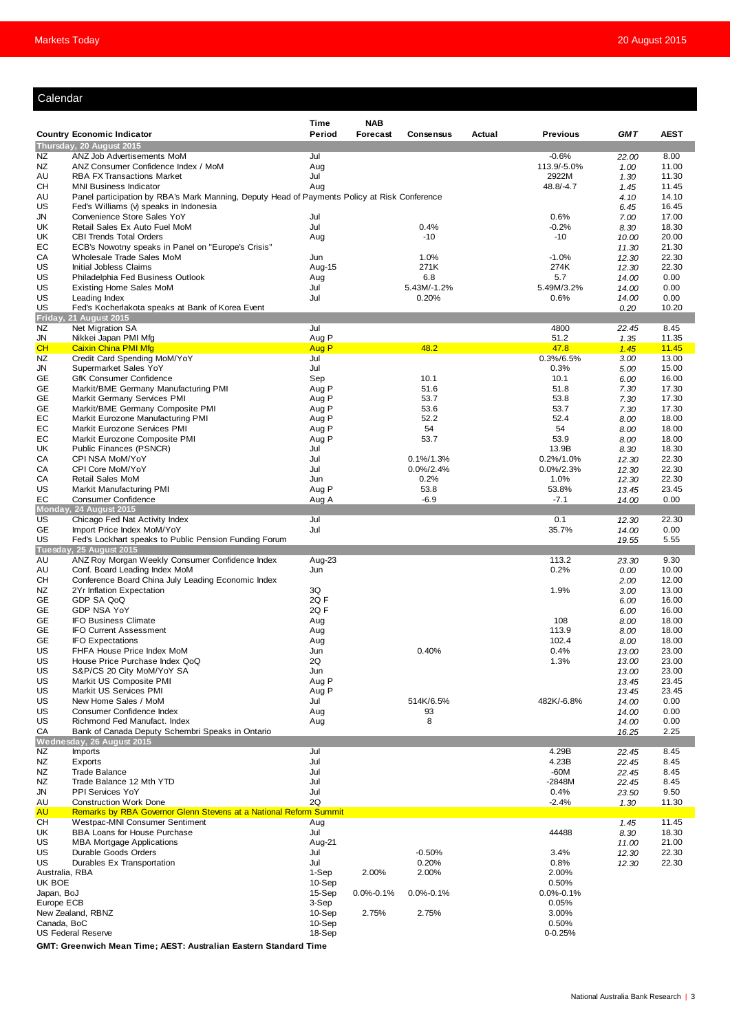#### Calendar

|                          |                                                                                              | Time            | <b>NAB</b>      |                       |        |                          |                |                |
|--------------------------|----------------------------------------------------------------------------------------------|-----------------|-----------------|-----------------------|--------|--------------------------|----------------|----------------|
|                          | <b>Country Economic Indicator</b>                                                            | Period          | Forecast        | <b>Consensus</b>      | Actual | <b>Previous</b>          | <b>GMT</b>     | <b>AEST</b>    |
|                          | Thursday, 20 August 2015                                                                     |                 |                 |                       |        |                          |                |                |
| NZ                       | ANZ Job Advertisements MoM                                                                   | Jul             |                 |                       |        | $-0.6%$                  | 22.00          | 8.00           |
| NZ<br>AU                 | ANZ Consumer Confidence Index / MoM<br><b>RBA FX Transactions Market</b>                     | Aug<br>Jul      |                 |                       |        | 113.9/-5.0%<br>2922M     | 1.00<br>1.30   | 11.00<br>11.30 |
| CН                       | <b>MNI Business Indicator</b>                                                                | Aug             |                 |                       |        | 48.8/-4.7                | 1.45           | 11.45          |
| AU                       | Panel participation by RBA's Mark Manning, Deputy Head of Payments Policy at Risk Conference |                 |                 |                       |        |                          | 4.10           | 14.10          |
| US                       | Fed's Williams (v) speaks in Indonesia                                                       |                 |                 |                       |        |                          | 6.45           | 16.45          |
| JN<br>UK                 | Convenience Store Sales YoY<br>Retail Sales Ex Auto Fuel MoM                                 | Jul<br>Jul      |                 | 0.4%                  |        | 0.6%<br>$-0.2%$          | 7.00<br>8.30   | 17.00<br>18.30 |
| UK                       | <b>CBI Trends Total Orders</b>                                                               | Aug             |                 | $-10$                 |        | $-10$                    | 10.00          | 20.00          |
| EC                       | ECB's Nowotny speaks in Panel on "Europe's Crisis"                                           |                 |                 |                       |        |                          | 11.30          | 21.30          |
| СA                       | Wholesale Trade Sales MoM                                                                    | Jun             |                 | 1.0%                  |        | $-1.0%$                  | 12.30          | 22.30          |
| US                       | Initial Jobless Claims                                                                       | Aug-15          |                 | 271K                  |        | 274K                     | 12.30          | 22.30          |
| US<br>US                 | Philadelphia Fed Business Outlook<br><b>Existing Home Sales MoM</b>                          | Aug<br>Jul      |                 | 6.8<br>5.43M/-1.2%    |        | 5.7<br>5.49M/3.2%        | 14.00<br>14.00 | 0.00<br>0.00   |
| US                       | Leading Index                                                                                | Jul             |                 | 0.20%                 |        | 0.6%                     | 14.00          | 0.00           |
| US                       | Fed's Kocherlakota speaks at Bank of Korea Event                                             |                 |                 |                       |        |                          | 0.20           | 10.20          |
| Friday,                  | 21 August 2015                                                                               |                 |                 |                       |        |                          |                |                |
| NZ<br>JN                 | Net Migration SA<br>Nikkei Japan PMI Mfg                                                     | Jul<br>Aug P    |                 |                       |        | 4800<br>51.2             | 22.45          | 8.45<br>11.35  |
| CН                       | <b>Caixin China PMI Mfg</b>                                                                  | Aug P           |                 | 48.2                  |        | 47.8                     | 1.35<br>1.45   | 11.45          |
| NZ                       | Credit Card Spending MoM/YoY                                                                 | Jul             |                 |                       |        | 0.3%/6.5%                | 3.00           | 13.00          |
| JN                       | Supermarket Sales YoY                                                                        | Jul             |                 |                       |        | 0.3%                     | 5.00           | 15.00          |
| GЕ                       | <b>GfK Consumer Confidence</b>                                                               | Sep             |                 | 10.1                  |        | 10.1                     | 6.00           | 16.00          |
| GЕ                       | Markit/BME Germany Manufacturing PMI                                                         | Aug P           |                 | 51.6                  |        | 51.8                     | 7.30           | 17.30          |
| GE<br>GЕ                 | Markit Germany Services PMI<br>Markit/BME Germany Composite PMI                              | Aug P<br>Aug P  |                 | 53.7<br>53.6          |        | 53.8<br>53.7             | 7.30<br>7.30   | 17.30<br>17.30 |
| EC                       | Markit Eurozone Manufacturing PMI                                                            | Aug P           |                 | 52.2                  |        | 52.4                     | 8.00           | 18.00          |
| EС                       | Markit Eurozone Services PMI                                                                 | Aug P           |                 | 54                    |        | 54                       | 8.00           | 18.00          |
| EC                       | Markit Eurozone Composite PMI                                                                | Aug P           |                 | 53.7                  |        | 53.9                     | 8.00           | 18.00          |
| UK                       | Public Finances (PSNCR)                                                                      | Jul             |                 |                       |        | 13.9B                    | 8.30           | 18.30          |
| СA                       | CPI NSA MoM/YoY                                                                              | Jul             |                 | $0.1\%/1.3\%$         |        | 0.2%/1.0%                | 12.30          | 22.30          |
| СA<br>CA                 | CPI Core MoM/YoY<br><b>Retail Sales MoM</b>                                                  | Jul<br>Jun      |                 | $0.0\%/2.4\%$<br>0.2% |        | $0.0\%/2.3\%$<br>1.0%    | 12.30<br>12.30 | 22.30<br>22.30 |
| US                       | <b>Markit Manufacturing PMI</b>                                                              | Aug P           |                 | 53.8                  |        | 53.8%                    | 13.45          | 23.45          |
| EC                       | <b>Consumer Confidence</b>                                                                   | Aug A           |                 | $-6.9$                |        | $-7.1$                   | 14.00          | 0.00           |
|                          | Monday, 24 August 2015                                                                       |                 |                 |                       |        |                          |                |                |
| US<br>GE                 | Chicago Fed Nat Activity Index                                                               | Jul<br>Jul      |                 |                       |        | 0.1<br>35.7%             | 12.30          | 22.30<br>0.00  |
| US                       | Import Price Index MoM/YoY<br>Fed's Lockhart speaks to Public Pension Funding Forum          |                 |                 |                       |        |                          | 14.00<br>19.55 | 5.55           |
|                          | Tuesday, 25 August 2015                                                                      |                 |                 |                       |        |                          |                |                |
| AU                       | ANZ Roy Morgan Weekly Consumer Confidence Index                                              | Aug-23          |                 |                       |        | 113.2                    | 23.30          | 9.30           |
| AU                       | Conf. Board Leading Index MoM                                                                | Jun             |                 |                       |        | 0.2%                     | 0.00           | 10.00          |
| CН<br>NZ                 | Conference Board China July Leading Economic Index<br>2Yr Inflation Expectation              | 3Q              |                 |                       |        | 1.9%                     | 2.00           | 12.00<br>13.00 |
| GE                       | GDP SA QoQ                                                                                   | 2QF             |                 |                       |        |                          | 3.00<br>6.00   | 16.00          |
| GE                       | <b>GDP NSA YoY</b>                                                                           | 2Q F            |                 |                       |        |                          | 6.00           | 16.00          |
| GE                       | <b>IFO Business Climate</b>                                                                  | Aug             |                 |                       |        | 108                      | 8.00           | 18.00          |
| GЕ                       | <b>IFO Current Assessment</b>                                                                | Aug             |                 |                       |        | 113.9                    | 8.00           | 18.00          |
| GE<br>US                 | <b>IFO Expectations</b>                                                                      | Aug             |                 | 0.40%                 |        | 102.4<br>0.4%            | 8.00           | 18.00<br>23.00 |
| US                       | FHFA House Price Index MoM<br>House Price Purchase Index QoQ                                 | Jun<br>2Q       |                 |                       |        | 1.3%                     | 13.00<br>13.00 | 23.00          |
| US                       | S&P/CS 20 City MoM/YoY SA                                                                    | Jun             |                 |                       |        |                          | 13.00          | 23.00          |
| US                       | Markit US Composite PMI                                                                      | Aug P           |                 |                       |        |                          | 13.45          | 23.45          |
| US                       | Markit US Services PMI                                                                       | Aug P           |                 |                       |        |                          | 13.45          | 23.45          |
| US                       | New Home Sales / MoM                                                                         | Jul             |                 | 514K/6.5%             |        | 482K/-6.8%               | 14.00          | 0.00           |
| US<br>US                 | Consumer Confidence Index<br>Richmond Fed Manufact. Index                                    | Aug<br>Aug      |                 | 93<br>8               |        |                          | 14.00<br>14.00 | 0.00<br>0.00   |
| СA                       | Bank of Canada Deputy Schembri Speaks in Ontario                                             |                 |                 |                       |        |                          | 16.25          | 2.25           |
|                          | Wednesday, 26 August 2015                                                                    |                 |                 |                       |        |                          |                |                |
| NZ                       | Imports                                                                                      | Jul             |                 |                       |        | 4.29B                    | 22.45          | 8.45           |
| NZ<br>NZ                 | Exports<br><b>Trade Balance</b>                                                              | Jul<br>Jul      |                 |                       |        | 4.23B<br>$-60M$          | 22.45          | 8.45           |
| NZ                       | Trade Balance 12 Mth YTD                                                                     | Jul             |                 |                       |        | $-2848M$                 | 22.45<br>22.45 | 8.45<br>8.45   |
| JN                       | PPI Services YoY                                                                             | Jul             |                 |                       |        | 0.4%                     | 23.50          | 9.50           |
| AU                       | <b>Construction Work Done</b>                                                                | 2Q              |                 |                       |        | $-2.4%$                  | 1.30           | 11.30          |
| AU                       | Remarks by RBA Governor Glenn Stevens at a National Reform Summit                            |                 |                 |                       |        |                          |                |                |
| <b>CH</b><br>UK          | Westpac-MNI Consumer Sentiment<br><b>BBA Loans for House Purchase</b>                        | Aug<br>Jul      |                 |                       |        | 44488                    | 1.45           | 11.45<br>18.30 |
| US                       | <b>MBA Mortgage Applications</b>                                                             | Aug-21          |                 |                       |        |                          | 8.30<br>11.00  | 21.00          |
| US                       | Durable Goods Orders                                                                         | Jul             |                 | $-0.50%$              |        | 3.4%                     | 12.30          | 22.30          |
| US                       | Durables Ex Transportation                                                                   | Jul             |                 | 0.20%                 |        | 0.8%                     | 12.30          | 22.30          |
| Australia, RBA           |                                                                                              | 1-Sep           | 2.00%           | 2.00%                 |        | 2.00%                    |                |                |
| UK BOE                   |                                                                                              | 10-Sep          |                 |                       |        | 0.50%                    |                |                |
| Japan, BoJ<br>Europe ECB |                                                                                              | 15-Sep<br>3-Sep | $0.0\% - 0.1\%$ | $0.0\% - 0.1\%$       |        | $0.0\% - 0.1\%$<br>0.05% |                |                |
|                          | New Zealand, RBNZ                                                                            | 10-Sep          | 2.75%           | 2.75%                 |        | 3.00%                    |                |                |
| Canada, BoC              |                                                                                              |                 |                 |                       |        | 0.50%                    |                |                |
|                          | <b>US Federal Reserve</b>                                                                    | 18-Sep          |                 |                       |        | $0 - 0.25%$              |                |                |
|                          | CMT: Croopwich Moon Time: AEST: Australian Eastern Standard Time                             |                 |                 |                       |        |                          |                |                |

**GMT: Greenwich Mean Time; AEST: Australian Eastern Standard Time**